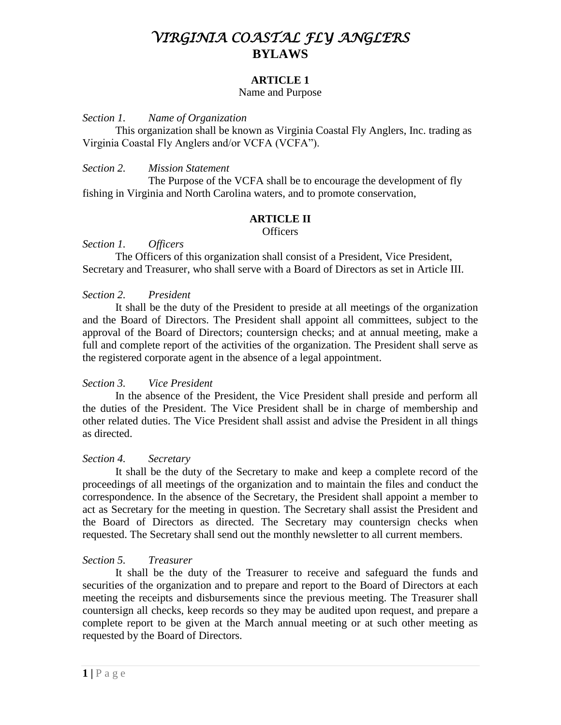# *VIRGINIA COASTAL FLY ANGLERS*  **BYLAWS**

## **ARTICLE 1**

#### Name and Purpose

*Section 1. Name of Organization*

This organization shall be known as Virginia Coastal Fly Anglers, Inc. trading as Virginia Coastal Fly Anglers and/or VCFA (VCFA").

#### *Section 2. Mission Statement*

The Purpose of the VCFA shall be to encourage the development of fly fishing in Virginia and North Carolina waters, and to promote conservation,

## **ARTICLE II**

**Officers** 

*Section 1. Officers*

The Officers of this organization shall consist of a President, Vice President, Secretary and Treasurer, who shall serve with a Board of Directors as set in Article III.

## *Section 2. President*

It shall be the duty of the President to preside at all meetings of the organization and the Board of Directors. The President shall appoint all committees, subject to the approval of the Board of Directors; countersign checks; and at annual meeting, make a full and complete report of the activities of the organization. The President shall serve as the registered corporate agent in the absence of a legal appointment.

## *Section 3. Vice President*

In the absence of the President, the Vice President shall preside and perform all the duties of the President. The Vice President shall be in charge of membership and other related duties. The Vice President shall assist and advise the President in all things as directed.

## *Section 4. Secretary*

It shall be the duty of the Secretary to make and keep a complete record of the proceedings of all meetings of the organization and to maintain the files and conduct the correspondence. In the absence of the Secretary, the President shall appoint a member to act as Secretary for the meeting in question. The Secretary shall assist the President and the Board of Directors as directed. The Secretary may countersign checks when requested. The Secretary shall send out the monthly newsletter to all current members.

#### *Section 5. Treasurer*

It shall be the duty of the Treasurer to receive and safeguard the funds and securities of the organization and to prepare and report to the Board of Directors at each meeting the receipts and disbursements since the previous meeting. The Treasurer shall countersign all checks, keep records so they may be audited upon request, and prepare a complete report to be given at the March annual meeting or at such other meeting as requested by the Board of Directors.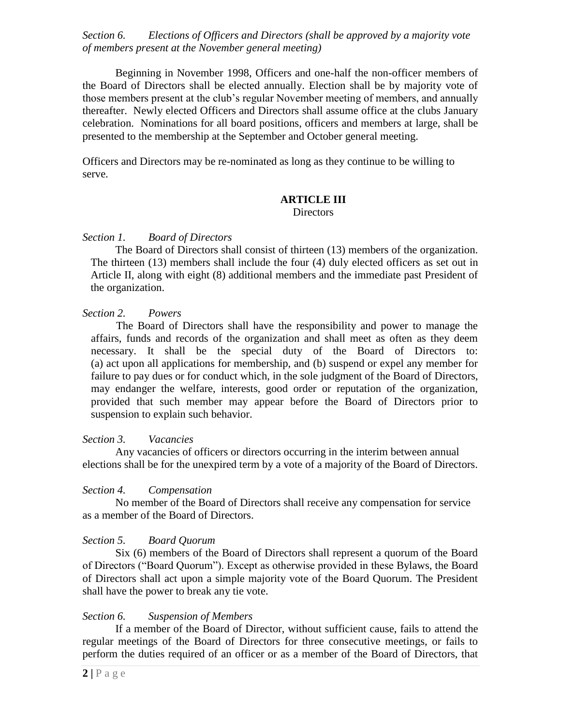## *Section 6. Elections of Officers and Directors (shall be approved by a majority vote of members present at the November general meeting)*

Beginning in November 1998, Officers and one-half the non-officer members of the Board of Directors shall be elected annually. Election shall be by majority vote of those members present at the club's regular November meeting of members, and annually thereafter. Newly elected Officers and Directors shall assume office at the clubs January celebration. Nominations for all board positions, officers and members at large, shall be presented to the membership at the September and October general meeting.

Officers and Directors may be re-nominated as long as they continue to be willing to serve.

## **ARTICLE III**

**Directors** 

#### *Section 1. Board of Directors*

The Board of Directors shall consist of thirteen (13) members of the organization. The thirteen (13) members shall include the four (4) duly elected officers as set out in Article II, along with eight (8) additional members and the immediate past President of the organization.

#### *Section 2. Powers*

The Board of Directors shall have the responsibility and power to manage the affairs, funds and records of the organization and shall meet as often as they deem necessary. It shall be the special duty of the Board of Directors to: (a) act upon all applications for membership, and (b) suspend or expel any member for failure to pay dues or for conduct which, in the sole judgment of the Board of Directors, may endanger the welfare, interests, good order or reputation of the organization, provided that such member may appear before the Board of Directors prior to suspension to explain such behavior.

#### *Section 3. Vacancies*

Any vacancies of officers or directors occurring in the interim between annual elections shall be for the unexpired term by a vote of a majority of the Board of Directors.

#### *Section 4. Compensation*

No member of the Board of Directors shall receive any compensation for service as a member of the Board of Directors.

#### *Section 5. Board Quorum*

Six (6) members of the Board of Directors shall represent a quorum of the Board of Directors ("Board Quorum"). Except as otherwise provided in these Bylaws, the Board of Directors shall act upon a simple majority vote of the Board Quorum. The President shall have the power to break any tie vote.

#### *Section 6. Suspension of Members*

If a member of the Board of Director, without sufficient cause, fails to attend the regular meetings of the Board of Directors for three consecutive meetings, or fails to perform the duties required of an officer or as a member of the Board of Directors, that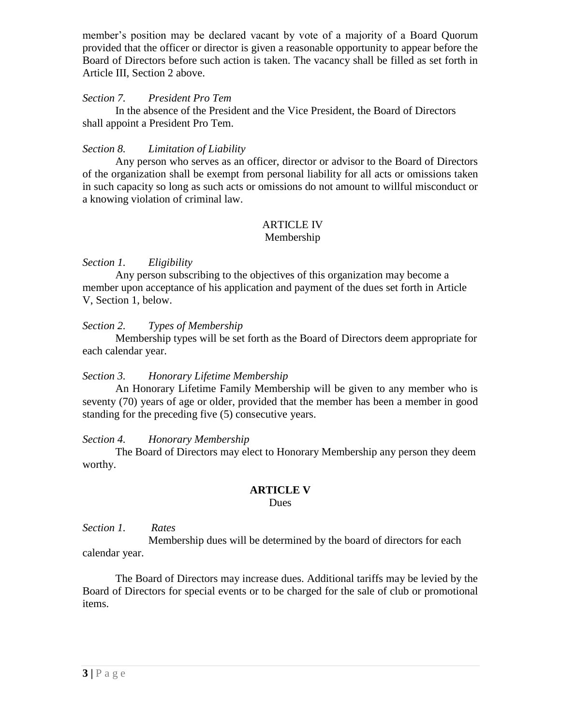member's position may be declared vacant by vote of a majority of a Board Quorum provided that the officer or director is given a reasonable opportunity to appear before the Board of Directors before such action is taken. The vacancy shall be filled as set forth in Article III, Section 2 above.

## *Section 7. President Pro Tem*

In the absence of the President and the Vice President, the Board of Directors shall appoint a President Pro Tem.

## *Section 8. Limitation of Liability*

Any person who serves as an officer, director or advisor to the Board of Directors of the organization shall be exempt from personal liability for all acts or omissions taken in such capacity so long as such acts or omissions do not amount to willful misconduct or a knowing violation of criminal law.

#### ARTICLE IV Membership

## *Section 1. Eligibility*

Any person subscribing to the objectives of this organization may become a member upon acceptance of his application and payment of the dues set forth in Article V, Section 1, below.

#### *Section 2. Types of Membership*

Membership types will be set forth as the Board of Directors deem appropriate for each calendar year.

## *Section 3. Honorary Lifetime Membership*

An Honorary Lifetime Family Membership will be given to any member who is seventy (70) years of age or older, provided that the member has been a member in good standing for the preceding five (5) consecutive years.

#### *Section 4. Honorary Membership*

The Board of Directors may elect to Honorary Membership any person they deem worthy.

# **ARTICLE V**

Dues

*Section 1. Rates*

Membership dues will be determined by the board of directors for each calendar year.

The Board of Directors may increase dues. Additional tariffs may be levied by the Board of Directors for special events or to be charged for the sale of club or promotional items.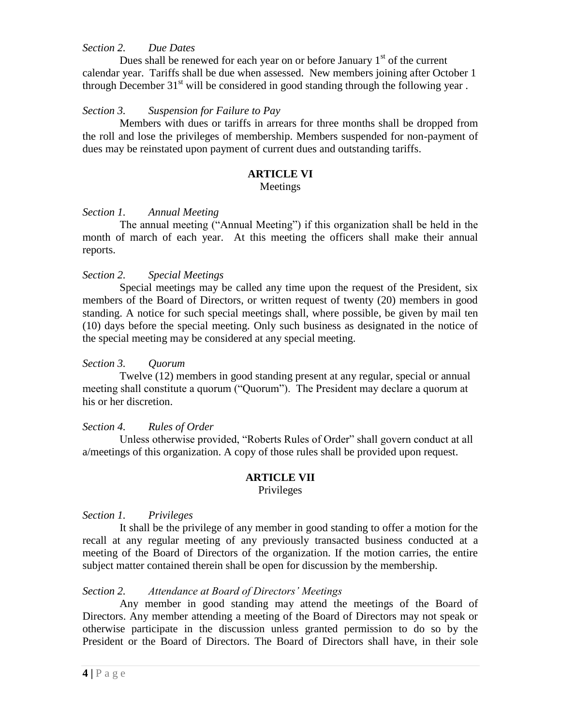#### *Section 2. Due Dates*

Dues shall be renewed for each year on or before January  $1<sup>st</sup>$  of the current calendar year. Tariffs shall be due when assessed. New members joining after October 1 through December  $31<sup>st</sup>$  will be considered in good standing through the following year.

#### *Section 3. Suspension for Failure to Pay*

Members with dues or tariffs in arrears for three months shall be dropped from the roll and lose the privileges of membership. Members suspended for non-payment of dues may be reinstated upon payment of current dues and outstanding tariffs.

#### **ARTICLE VI**

#### Meetings

#### *Section 1. Annual Meeting*

The annual meeting ("Annual Meeting") if this organization shall be held in the month of march of each year. At this meeting the officers shall make their annual reports.

## *Section 2. Special Meetings*

Special meetings may be called any time upon the request of the President, six members of the Board of Directors, or written request of twenty (20) members in good standing. A notice for such special meetings shall, where possible, be given by mail ten (10) days before the special meeting. Only such business as designated in the notice of the special meeting may be considered at any special meeting.

#### *Section 3. Quorum*

Twelve (12) members in good standing present at any regular, special or annual meeting shall constitute a quorum ("Quorum"). The President may declare a quorum at his or her discretion.

#### *Section 4. Rules of Order*

Unless otherwise provided, "Roberts Rules of Order" shall govern conduct at all a/meetings of this organization. A copy of those rules shall be provided upon request.

## **ARTICLE VII**

Privileges

#### *Section 1. Privileges*

It shall be the privilege of any member in good standing to offer a motion for the recall at any regular meeting of any previously transacted business conducted at a meeting of the Board of Directors of the organization. If the motion carries, the entire subject matter contained therein shall be open for discussion by the membership.

#### *Section 2. Attendance at Board of Directors' Meetings*

Any member in good standing may attend the meetings of the Board of Directors. Any member attending a meeting of the Board of Directors may not speak or otherwise participate in the discussion unless granted permission to do so by the President or the Board of Directors. The Board of Directors shall have, in their sole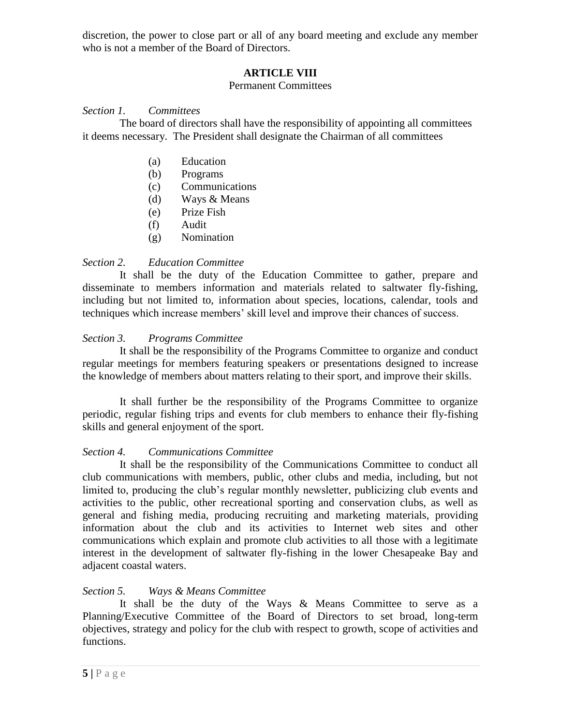discretion, the power to close part or all of any board meeting and exclude any member who is not a member of the Board of Directors.

# **ARTICLE VIII**

## Permanent Committees

## *Section 1. Committees*

The board of directors shall have the responsibility of appointing all committees it deems necessary. The President shall designate the Chairman of all committees

- (a) Education
- (b) Programs
- (c) Communications
- (d) Ways & Means
- (e) Prize Fish
- (f) Audit
- (g) Nomination

## *Section 2. Education Committee*

It shall be the duty of the Education Committee to gather, prepare and disseminate to members information and materials related to saltwater fly-fishing, including but not limited to, information about species, locations, calendar, tools and techniques which increase members' skill level and improve their chances of success.

## *Section 3. Programs Committee*

It shall be the responsibility of the Programs Committee to organize and conduct regular meetings for members featuring speakers or presentations designed to increase the knowledge of members about matters relating to their sport, and improve their skills.

It shall further be the responsibility of the Programs Committee to organize periodic, regular fishing trips and events for club members to enhance their fly-fishing skills and general enjoyment of the sport.

#### *Section 4. Communications Committee*

It shall be the responsibility of the Communications Committee to conduct all club communications with members, public, other clubs and media, including, but not limited to, producing the club's regular monthly newsletter, publicizing club events and activities to the public, other recreational sporting and conservation clubs, as well as general and fishing media, producing recruiting and marketing materials, providing information about the club and its activities to Internet web sites and other communications which explain and promote club activities to all those with a legitimate interest in the development of saltwater fly-fishing in the lower Chesapeake Bay and adjacent coastal waters.

#### *Section 5. Ways & Means Committee*

It shall be the duty of the Ways & Means Committee to serve as a Planning/Executive Committee of the Board of Directors to set broad, long-term objectives, strategy and policy for the club with respect to growth, scope of activities and functions.